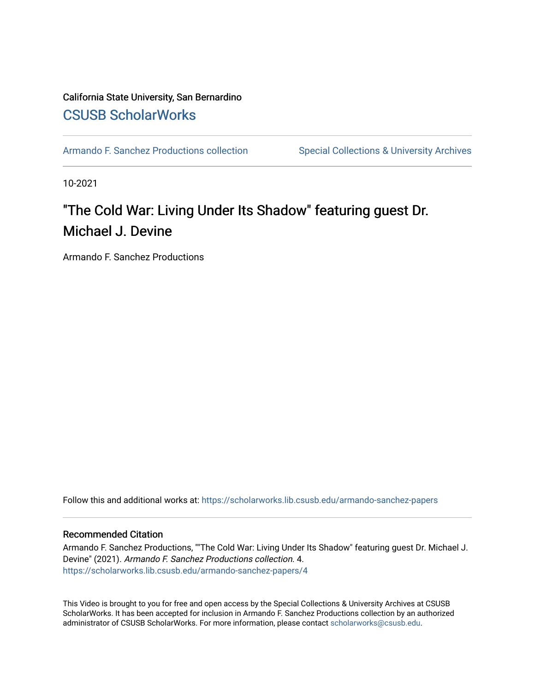#### California State University, San Bernardino [CSUSB ScholarWorks](https://scholarworks.lib.csusb.edu/)

[Armando F. Sanchez Productions collection](https://scholarworks.lib.csusb.edu/armando-sanchez-papers) Special Collections & University Archives

10-2021

## "The Cold War: Living Under Its Shadow" featuring guest Dr. Michael J. Devine

Armando F. Sanchez Productions

Follow this and additional works at: [https://scholarworks.lib.csusb.edu/armando-sanchez-papers](https://scholarworks.lib.csusb.edu/armando-sanchez-papers?utm_source=scholarworks.lib.csusb.edu%2Farmando-sanchez-papers%2F4&utm_medium=PDF&utm_campaign=PDFCoverPages) 

#### Recommended Citation

Armando F. Sanchez Productions, ""The Cold War: Living Under Its Shadow" featuring guest Dr. Michael J. Devine" (2021). Armando F. Sanchez Productions collection. 4. [https://scholarworks.lib.csusb.edu/armando-sanchez-papers/4](https://scholarworks.lib.csusb.edu/armando-sanchez-papers/4?utm_source=scholarworks.lib.csusb.edu%2Farmando-sanchez-papers%2F4&utm_medium=PDF&utm_campaign=PDFCoverPages)

This Video is brought to you for free and open access by the Special Collections & University Archives at CSUSB ScholarWorks. It has been accepted for inclusion in Armando F. Sanchez Productions collection by an authorized administrator of CSUSB ScholarWorks. For more information, please contact [scholarworks@csusb.edu](mailto:scholarworks@csusb.edu).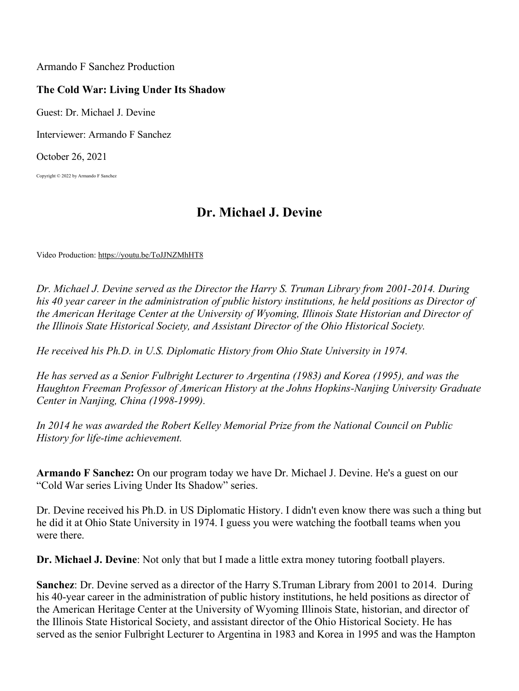Armando F Sanchez Production

## **The Cold War: Living Under Its Shadow**

Guest: Dr. Michael J. Devine

Interviewer: Armando F Sanchez

October 26, 2021

Copyright © 2022 by Armando F Sanchez

# **Dr. Michael J. Devine**

Video Production: https://youtu.be/ToJJNZMhHT8

*Dr. Michael J. Devine served as the Director the Harry S. Truman Library from 2001-2014. During his 40 year career in the administration of public history institutions, he held positions as Director of the American Heritage Center at the University of Wyoming, Illinois State Historian and Director of the Illinois State Historical Society, and Assistant Director of the Ohio Historical Society.*

*He received his Ph.D. in U.S. Diplomatic History from Ohio State University in 1974.*

*He has served as a Senior Fulbright Lecturer to Argentina (1983) and Korea (1995), and was the Haughton Freeman Professor of American History at the Johns Hopkins-Nanjing University Graduate Center in Nanjing, China (1998-1999).*

*In 2014 he was awarded the Robert Kelley Memorial Prize from the National Council on Public History for life-time achievement.*

**Armando F Sanchez:** On our program today we have Dr. Michael J. Devine. He's a guest on our "Cold War series Living Under Its Shadow" series.

Dr. Devine received his Ph.D. in US Diplomatic History. I didn't even know there was such a thing but he did it at Ohio State University in 1974. I guess you were watching the football teams when you were there.

**Dr. Michael J. Devine**: Not only that but I made a little extra money tutoring football players.

**Sanchez**: Dr. Devine served as a director of the Harry S.Truman Library from 2001 to 2014. During his 40-year career in the administration of public history institutions, he held positions as director of the American Heritage Center at the University of Wyoming Illinois State, historian, and director of the Illinois State Historical Society, and assistant director of the Ohio Historical Society. He has served as the senior Fulbright Lecturer to Argentina in 1983 and Korea in 1995 and was the Hampton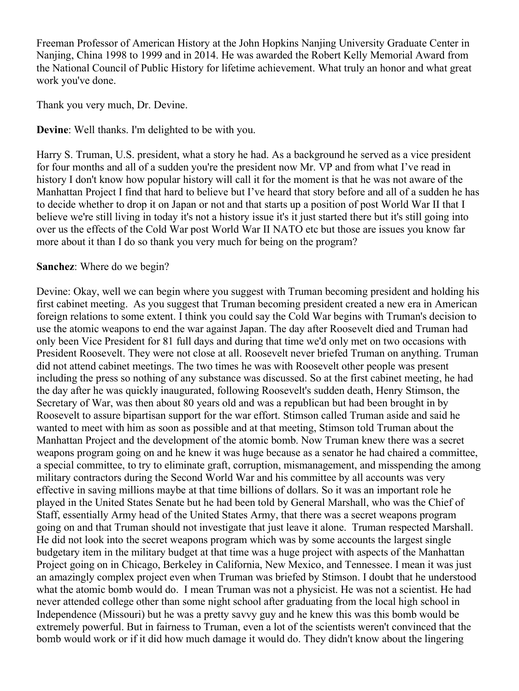Freeman Professor of American History at the John Hopkins Nanjing University Graduate Center in Nanjing, China 1998 to 1999 and in 2014. He was awarded the Robert Kelly Memorial Award from the National Council of Public History for lifetime achievement. What truly an honor and what great work you've done.

Thank you very much, Dr. Devine.

**Devine**: Well thanks. I'm delighted to be with you.

Harry S. Truman, U.S. president, what a story he had. As a background he served as a vice president for four months and all of a sudden you're the president now Mr. VP and from what I've read in history I don't know how popular history will call it for the moment is that he was not aware of the Manhattan Project I find that hard to believe but I've heard that story before and all of a sudden he has to decide whether to drop it on Japan or not and that starts up a position of post World War II that I believe we're still living in today it's not a history issue it's it just started there but it's still going into over us the effects of the Cold War post World War II NATO etc but those are issues you know far more about it than I do so thank you very much for being on the program?

### **Sanchez**: Where do we begin?

Devine: Okay, well we can begin where you suggest with Truman becoming president and holding his first cabinet meeting. As you suggest that Truman becoming president created a new era in American foreign relations to some extent. I think you could say the Cold War begins with Truman's decision to use the atomic weapons to end the war against Japan. The day after Roosevelt died and Truman had only been Vice President for 81 full days and during that time we'd only met on two occasions with President Roosevelt. They were not close at all. Roosevelt never briefed Truman on anything. Truman did not attend cabinet meetings. The two times he was with Roosevelt other people was present including the press so nothing of any substance was discussed. So at the first cabinet meeting, he had the day after he was quickly inaugurated, following Roosevelt's sudden death, Henry Stimson, the Secretary of War, was then about 80 years old and was a republican but had been brought in by Roosevelt to assure bipartisan support for the war effort. Stimson called Truman aside and said he wanted to meet with him as soon as possible and at that meeting, Stimson told Truman about the Manhattan Project and the development of the atomic bomb. Now Truman knew there was a secret weapons program going on and he knew it was huge because as a senator he had chaired a committee, a special committee, to try to eliminate graft, corruption, mismanagement, and misspending the among military contractors during the Second World War and his committee by all accounts was very effective in saving millions maybe at that time billions of dollars. So it was an important role he played in the United States Senate but he had been told by General Marshall, who was the Chief of Staff, essentially Army head of the United States Army, that there was a secret weapons program going on and that Truman should not investigate that just leave it alone. Truman respected Marshall. He did not look into the secret weapons program which was by some accounts the largest single budgetary item in the military budget at that time was a huge project with aspects of the Manhattan Project going on in Chicago, Berkeley in California, New Mexico, and Tennessee. I mean it was just an amazingly complex project even when Truman was briefed by Stimson. I doubt that he understood what the atomic bomb would do. I mean Truman was not a physicist. He was not a scientist. He had never attended college other than some night school after graduating from the local high school in Independence (Missouri) but he was a pretty savvy guy and he knew this was this bomb would be extremely powerful. But in fairness to Truman, even a lot of the scientists weren't convinced that the bomb would work or if it did how much damage it would do. They didn't know about the lingering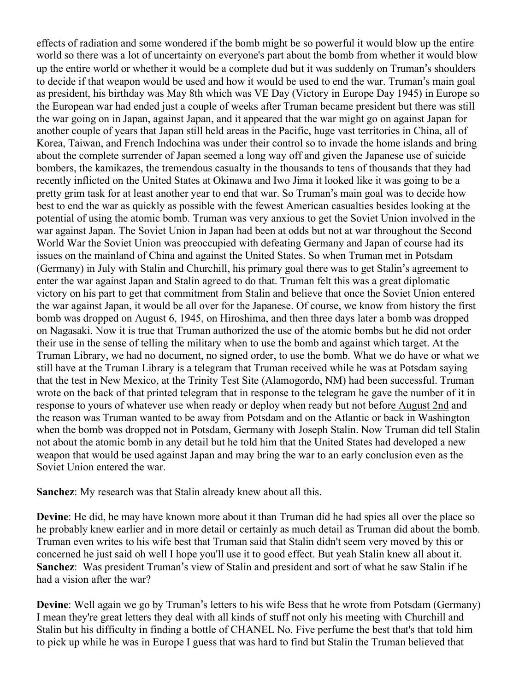effects of radiation and some wondered if the bomb might be so powerful it would blow up the entire world so there was a lot of uncertainty on everyone's part about the bomb from whether it would blow up the entire world or whether it would be a complete dud but it was suddenly on Truman's shoulders to decide if that weapon would be used and how it would be used to end the war. Truman's main goal as president, his birthday was May 8th which was VE Day (Victory in Europe Day 1945) in Europe so the European war had ended just a couple of weeks after Truman became president but there was still the war going on in Japan, against Japan, and it appeared that the war might go on against Japan for another couple of years that Japan still held areas in the Pacific, huge vast territories in China, all of Korea, Taiwan, and French Indochina was under their control so to invade the home islands and bring about the complete surrender of Japan seemed a long way off and given the Japanese use of suicide bombers, the kamikazes, the tremendous casualty in the thousands to tens of thousands that they had recently inflicted on the United States at Okinawa and Iwo Jima it looked like it was going to be a pretty grim task for at least another year to end that war. So Truman's main goal was to decide how best to end the war as quickly as possible with the fewest American casualties besides looking at the potential of using the atomic bomb. Truman was very anxious to get the Soviet Union involved in the war against Japan. The Soviet Union in Japan had been at odds but not at war throughout the Second World War the Soviet Union was preoccupied with defeating Germany and Japan of course had its issues on the mainland of China and against the United States. So when Truman met in Potsdam (Germany) in July with Stalin and Churchill, his primary goal there was to get Stalin's agreement to enter the war against Japan and Stalin agreed to do that. Truman felt this was a great diplomatic victory on his part to get that commitment from Stalin and believe that once the Soviet Union entered the war against Japan, it would be all over for the Japanese. Of course, we know from history the first bomb was dropped on August 6, 1945, on Hiroshima, and then three days later a bomb was dropped on Nagasaki. Now it is true that Truman authorized the use of the atomic bombs but he did not order their use in the sense of telling the military when to use the bomb and against which target. At the Truman Library, we had no document, no signed order, to use the bomb. What we do have or what we still have at the Truman Library is a telegram that Truman received while he was at Potsdam saying that the test in New Mexico, at the Trinity Test Site (Alamogordo, NM) had been successful. Truman wrote on the back of that printed telegram that in response to the telegram he gave the number of it in response to yours of whatever use when ready or deploy when ready but not before August 2nd and the reason was Truman wanted to be away from Potsdam and on the Atlantic or back in Washington when the bomb was dropped not in Potsdam, Germany with Joseph Stalin. Now Truman did tell Stalin not about the atomic bomb in any detail but he told him that the United States had developed a new weapon that would be used against Japan and may bring the war to an early conclusion even as the Soviet Union entered the war.

**Sanchez**: My research was that Stalin already knew about all this.

**Devine**: He did, he may have known more about it than Truman did he had spies all over the place so he probably knew earlier and in more detail or certainly as much detail as Truman did about the bomb. Truman even writes to his wife best that Truman said that Stalin didn't seem very moved by this or concerned he just said oh well I hope you'll use it to good effect. But yeah Stalin knew all about it. **Sanchez**: Was president Truman's view of Stalin and president and sort of what he saw Stalin if he had a vision after the war?

**Devine**: Well again we go by Truman's letters to his wife Bess that he wrote from Potsdam (Germany) I mean they're great letters they deal with all kinds of stuff not only his meeting with Churchill and Stalin but his difficulty in finding a bottle of CHANEL No. Five perfume the best that's that told him to pick up while he was in Europe I guess that was hard to find but Stalin the Truman believed that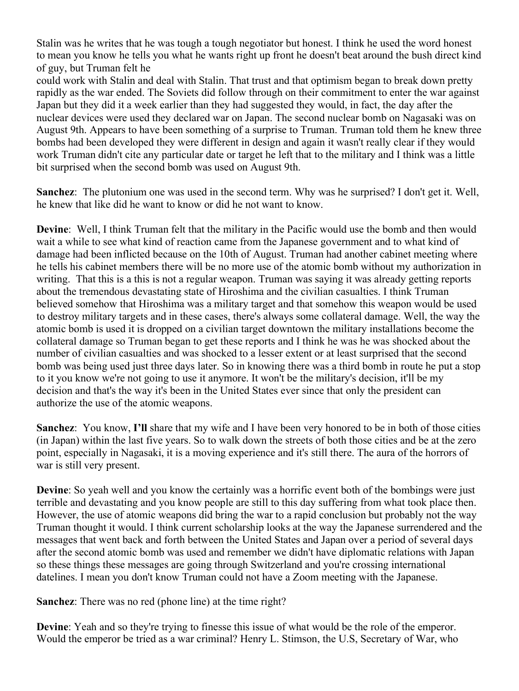Stalin was he writes that he was tough a tough negotiator but honest. I think he used the word honest to mean you know he tells you what he wants right up front he doesn't beat around the bush direct kind of guy, but Truman felt he

could work with Stalin and deal with Stalin. That trust and that optimism began to break down pretty rapidly as the war ended. The Soviets did follow through on their commitment to enter the war against Japan but they did it a week earlier than they had suggested they would, in fact, the day after the nuclear devices were used they declared war on Japan. The second nuclear bomb on Nagasaki was on August 9th. Appears to have been something of a surprise to Truman. Truman told them he knew three bombs had been developed they were different in design and again it wasn't really clear if they would work Truman didn't cite any particular date or target he left that to the military and I think was a little bit surprised when the second bomb was used on August 9th.

**Sanchez**: The plutonium one was used in the second term. Why was he surprised? I don't get it. Well, he knew that like did he want to know or did he not want to know.

**Devine**: Well, I think Truman felt that the military in the Pacific would use the bomb and then would wait a while to see what kind of reaction came from the Japanese government and to what kind of damage had been inflicted because on the 10th of August. Truman had another cabinet meeting where he tells his cabinet members there will be no more use of the atomic bomb without my authorization in writing. That this is a this is not a regular weapon. Truman was saying it was already getting reports about the tremendous devastating state of Hiroshima and the civilian casualties. I think Truman believed somehow that Hiroshima was a military target and that somehow this weapon would be used to destroy military targets and in these cases, there's always some collateral damage. Well, the way the atomic bomb is used it is dropped on a civilian target downtown the military installations become the collateral damage so Truman began to get these reports and I think he was he was shocked about the number of civilian casualties and was shocked to a lesser extent or at least surprised that the second bomb was being used just three days later. So in knowing there was a third bomb in route he put a stop to it you know we're not going to use it anymore. It won't be the military's decision, it'll be my decision and that's the way it's been in the United States ever since that only the president can authorize the use of the atomic weapons.

**Sanchez**: You know, **I'll** share that my wife and I have been very honored to be in both of those cities (in Japan) within the last five years. So to walk down the streets of both those cities and be at the zero point, especially in Nagasaki, it is a moving experience and it's still there. The aura of the horrors of war is still very present.

**Devine**: So yeah well and you know the certainly was a horrific event both of the bombings were just terrible and devastating and you know people are still to this day suffering from what took place then. However, the use of atomic weapons did bring the war to a rapid conclusion but probably not the way Truman thought it would. I think current scholarship looks at the way the Japanese surrendered and the messages that went back and forth between the United States and Japan over a period of several days after the second atomic bomb was used and remember we didn't have diplomatic relations with Japan so these things these messages are going through Switzerland and you're crossing international datelines. I mean you don't know Truman could not have a Zoom meeting with the Japanese.

**Sanchez**: There was no red (phone line) at the time right?

**Devine**: Yeah and so they're trying to finesse this issue of what would be the role of the emperor. Would the emperor be tried as a war criminal? Henry L. Stimson, the U.S, Secretary of War, who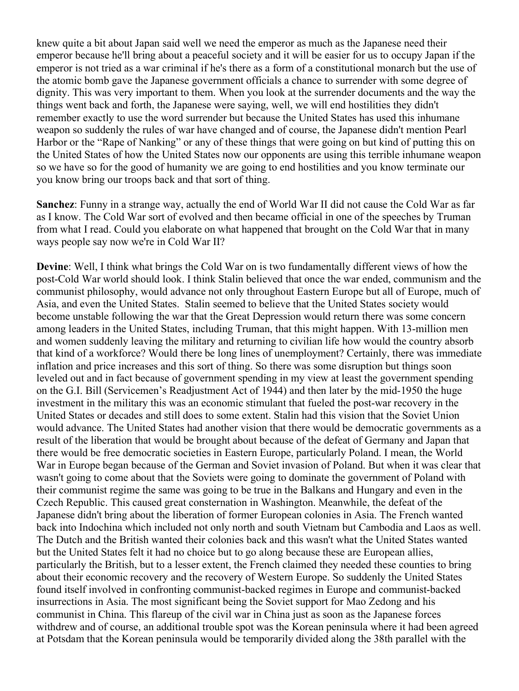knew quite a bit about Japan said well we need the emperor as much as the Japanese need their emperor because he'll bring about a peaceful society and it will be easier for us to occupy Japan if the emperor is not tried as a war criminal if he's there as a form of a constitutional monarch but the use of the atomic bomb gave the Japanese government officials a chance to surrender with some degree of dignity. This was very important to them. When you look at the surrender documents and the way the things went back and forth, the Japanese were saying, well, we will end hostilities they didn't remember exactly to use the word surrender but because the United States has used this inhumane weapon so suddenly the rules of war have changed and of course, the Japanese didn't mention Pearl Harbor or the "Rape of Nanking" or any of these things that were going on but kind of putting this on the United States of how the United States now our opponents are using this terrible inhumane weapon so we have so for the good of humanity we are going to end hostilities and you know terminate our you know bring our troops back and that sort of thing.

**Sanchez**: Funny in a strange way, actually the end of World War II did not cause the Cold War as far as I know. The Cold War sort of evolved and then became official in one of the speeches by Truman from what I read. Could you elaborate on what happened that brought on the Cold War that in many ways people say now we're in Cold War II?

**Devine**: Well, I think what brings the Cold War on is two fundamentally different views of how the post-Cold War world should look. I think Stalin believed that once the war ended, communism and the communist philosophy, would advance not only throughout Eastern Europe but all of Europe, much of Asia, and even the United States. Stalin seemed to believe that the United States society would become unstable following the war that the Great Depression would return there was some concern among leaders in the United States, including Truman, that this might happen. With 13-million men and women suddenly leaving the military and returning to civilian life how would the country absorb that kind of a workforce? Would there be long lines of unemployment? Certainly, there was immediate inflation and price increases and this sort of thing. So there was some disruption but things soon leveled out and in fact because of government spending in my view at least the government spending on the G.I. Bill (Servicemen's Readjustment Act of 1944) and then later by the mid-1950 the huge investment in the military this was an economic stimulant that fueled the post-war recovery in the United States or decades and still does to some extent. Stalin had this vision that the Soviet Union would advance. The United States had another vision that there would be democratic governments as a result of the liberation that would be brought about because of the defeat of Germany and Japan that there would be free democratic societies in Eastern Europe, particularly Poland. I mean, the World War in Europe began because of the German and Soviet invasion of Poland. But when it was clear that wasn't going to come about that the Soviets were going to dominate the government of Poland with their communist regime the same was going to be true in the Balkans and Hungary and even in the Czech Republic. This caused great consternation in Washington. Meanwhile, the defeat of the Japanese didn't bring about the liberation of former European colonies in Asia. The French wanted back into Indochina which included not only north and south Vietnam but Cambodia and Laos as well. The Dutch and the British wanted their colonies back and this wasn't what the United States wanted but the United States felt it had no choice but to go along because these are European allies, particularly the British, but to a lesser extent, the French claimed they needed these counties to bring about their economic recovery and the recovery of Western Europe. So suddenly the United States found itself involved in confronting communist-backed regimes in Europe and communist-backed insurrections in Asia. The most significant being the Soviet support for Mao Zedong and his communist in China. This flareup of the civil war in China just as soon as the Japanese forces withdrew and of course, an additional trouble spot was the Korean peninsula where it had been agreed at Potsdam that the Korean peninsula would be temporarily divided along the 38th parallel with the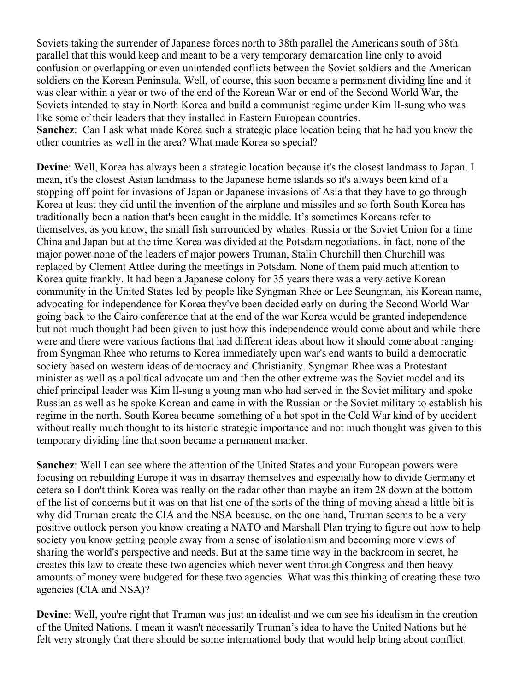Soviets taking the surrender of Japanese forces north to 38th parallel the Americans south of 38th parallel that this would keep and meant to be a very temporary demarcation line only to avoid confusion or overlapping or even unintended conflicts between the Soviet soldiers and the American soldiers on the Korean Peninsula. Well, of course, this soon became a permanent dividing line and it was clear within a year or two of the end of the Korean War or end of the Second World War, the Soviets intended to stay in North Korea and build a communist regime under Kim II-sung who was like some of their leaders that they installed in Eastern European countries. **Sanchez**: Can I ask what made Korea such a strategic place location being that he had you know the other countries as well in the area? What made Korea so special?

**Devine**: Well, Korea has always been a strategic location because it's the closest landmass to Japan. I mean, it's the closest Asian landmass to the Japanese home islands so it's always been kind of a stopping off point for invasions of Japan or Japanese invasions of Asia that they have to go through Korea at least they did until the invention of the airplane and missiles and so forth South Korea has traditionally been a nation that's been caught in the middle. It's sometimes Koreans refer to themselves, as you know, the small fish surrounded by whales. Russia or the Soviet Union for a time China and Japan but at the time Korea was divided at the Potsdam negotiations, in fact, none of the major power none of the leaders of major powers Truman, Stalin Churchill then Churchill was replaced by Clement Attlee during the meetings in Potsdam. None of them paid much attention to Korea quite frankly. It had been a Japanese colony for 35 years there was a very active Korean community in the United States led by people like Syngman Rhee or Lee Seungman, his Korean name, advocating for independence for Korea they've been decided early on during the Second World War going back to the Cairo conference that at the end of the war Korea would be granted independence but not much thought had been given to just how this independence would come about and while there were and there were various factions that had different ideas about how it should come about ranging from Syngman Rhee who returns to Korea immediately upon war's end wants to build a democratic society based on western ideas of democracy and Christianity. Syngman Rhee was a Protestant minister as well as a political advocate um and then the other extreme was the Soviet model and its chief principal leader was Kim lI-sung a young man who had served in the Soviet military and spoke Russian as well as he spoke Korean and came in with the Russian or the Soviet military to establish his regime in the north. South Korea became something of a hot spot in the Cold War kind of by accident without really much thought to its historic strategic importance and not much thought was given to this temporary dividing line that soon became a permanent marker.

**Sanchez**: Well I can see where the attention of the United States and your European powers were focusing on rebuilding Europe it was in disarray themselves and especially how to divide Germany et cetera so I don't think Korea was really on the radar other than maybe an item 28 down at the bottom of the list of concerns but it was on that list one of the sorts of the thing of moving ahead a little bit is why did Truman create the CIA and the NSA because, on the one hand, Truman seems to be a very positive outlook person you know creating a NATO and Marshall Plan trying to figure out how to help society you know getting people away from a sense of isolationism and becoming more views of sharing the world's perspective and needs. But at the same time way in the backroom in secret, he creates this law to create these two agencies which never went through Congress and then heavy amounts of money were budgeted for these two agencies. What was this thinking of creating these two agencies (CIA and NSA)?

**Devine**: Well, you're right that Truman was just an idealist and we can see his idealism in the creation of the United Nations. I mean it wasn't necessarily Truman's idea to have the United Nations but he felt very strongly that there should be some international body that would help bring about conflict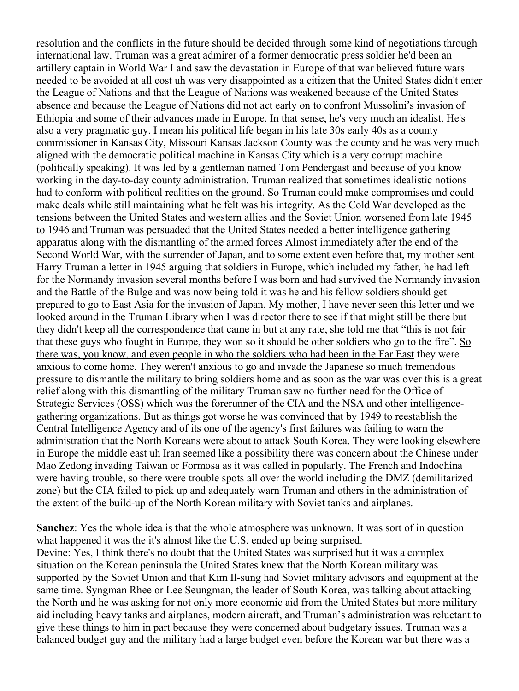resolution and the conflicts in the future should be decided through some kind of negotiations through international law. Truman was a great admirer of a former democratic press soldier he'd been an artillery captain in World War I and saw the devastation in Europe of that war believed future wars needed to be avoided at all cost uh was very disappointed as a citizen that the United States didn't enter the League of Nations and that the League of Nations was weakened because of the United States absence and because the League of Nations did not act early on to confront Mussolini's invasion of Ethiopia and some of their advances made in Europe. In that sense, he's very much an idealist. He's also a very pragmatic guy. I mean his political life began in his late 30s early 40s as a county commissioner in Kansas City, Missouri Kansas Jackson County was the county and he was very much aligned with the democratic political machine in Kansas City which is a very corrupt machine (politically speaking). It was led by a gentleman named Tom Pendergast and because of you know working in the day-to-day county administration. Truman realized that sometimes idealistic notions had to conform with political realities on the ground. So Truman could make compromises and could make deals while still maintaining what he felt was his integrity. As the Cold War developed as the tensions between the United States and western allies and the Soviet Union worsened from late 1945 to 1946 and Truman was persuaded that the United States needed a better intelligence gathering apparatus along with the dismantling of the armed forces Almost immediately after the end of the Second World War, with the surrender of Japan, and to some extent even before that, my mother sent Harry Truman a letter in 1945 arguing that soldiers in Europe, which included my father, he had left for the Normandy invasion several months before I was born and had survived the Normandy invasion and the Battle of the Bulge and was now being told it was he and his fellow soldiers should get prepared to go to East Asia for the invasion of Japan. My mother, I have never seen this letter and we looked around in the Truman Library when I was director there to see if that might still be there but they didn't keep all the correspondence that came in but at any rate, she told me that "this is not fair that these guys who fought in Europe, they won so it should be other soldiers who go to the fire". So there was, you know, and even people in who the soldiers who had been in the Far East they were anxious to come home. They weren't anxious to go and invade the Japanese so much tremendous pressure to dismantle the military to bring soldiers home and as soon as the war was over this is a great relief along with this dismantling of the military Truman saw no further need for the Office of Strategic Services (OSS) which was the forerunner of the CIA and the NSA and other intelligencegathering organizations. But as things got worse he was convinced that by 1949 to reestablish the Central Intelligence Agency and of its one of the agency's first failures was failing to warn the administration that the North Koreans were about to attack South Korea. They were looking elsewhere in Europe the middle east uh Iran seemed like a possibility there was concern about the Chinese under Mao Zedong invading Taiwan or Formosa as it was called in popularly. The French and Indochina were having trouble, so there were trouble spots all over the world including the DMZ (demilitarized zone) but the CIA failed to pick up and adequately warn Truman and others in the administration of the extent of the build-up of the North Korean military with Soviet tanks and airplanes.

**Sanchez**: Yes the whole idea is that the whole atmosphere was unknown. It was sort of in question what happened it was the it's almost like the U.S. ended up being surprised. Devine: Yes, I think there's no doubt that the United States was surprised but it was a complex situation on the Korean peninsula the United States knew that the North Korean military was supported by the Soviet Union and that Kim Il-sung had Soviet military advisors and equipment at the same time. Syngman Rhee or Lee Seungman, the leader of South Korea, was talking about attacking the North and he was asking for not only more economic aid from the United States but more military aid including heavy tanks and airplanes, modern aircraft, and Truman's administration was reluctant to give these things to him in part because they were concerned about budgetary issues. Truman was a balanced budget guy and the military had a large budget even before the Korean war but there was a